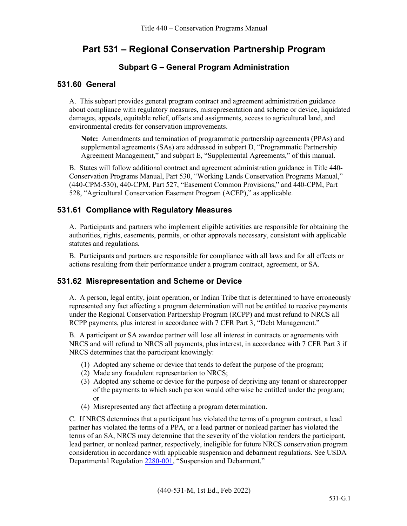# **Part 531 – Regional Conservation Partnership Program**

# **Subpart G – General Program Administration**

### **531.60 General**

A. This subpart provides general program contract and agreement administration guidance about compliance with regulatory measures, misrepresentation and scheme or device, liquidated damages, appeals, equitable relief, offsets and assignments, access to agricultural land, and environmental credits for conservation improvements.

**Note:** Amendments and termination of programmatic partnership agreements (PPAs) and supplemental agreements (SAs) are addressed in subpart D, "Programmatic Partnership Agreement Management," and subpart E, "Supplemental Agreements," of this manual.

B. States will follow additional contract and agreement administration guidance in Title 440- Conservation Programs Manual, Part 530, "Working Lands Conservation Programs Manual," (440-CPM-530), 440-CPM, Part 527, "Easement Common Provisions," and 440-CPM, Part 528, "Agricultural Conservation Easement Program (ACEP)," as applicable.

# **531.61 Compliance with Regulatory Measures**

A. Participants and partners who implement eligible activities are responsible for obtaining the authorities, rights, easements, permits, or other approvals necessary, consistent with applicable statutes and regulations.

B. Participants and partners are responsible for compliance with all laws and for all effects or actions resulting from their performance under a program contract, agreement, or SA.

# **531.62 Misrepresentation and Scheme or Device**

A. A person, legal entity, joint operation, or Indian Tribe that is determined to have erroneously represented any fact affecting a program determination will not be entitled to receive payments under the Regional Conservation Partnership Program (RCPP) and must refund to NRCS all RCPP payments, plus interest in accordance with 7 CFR Part 3, "Debt Management."

B. A participant or SA awardee partner will lose all interest in contracts or agreements with NRCS and will refund to NRCS all payments, plus interest, in accordance with 7 CFR Part 3 if NRCS determines that the participant knowingly:

- (1) Adopted any scheme or device that tends to defeat the purpose of the program;
- (2) Made any fraudulent representation to NRCS;
- (3) Adopted any scheme or device for the purpose of depriving any tenant or sharecropper of the payments to which such person would otherwise be entitled under the program; or
- (4) Misrepresented any fact affecting a program determination.

C. If NRCS determines that a participant has violated the terms of a program contract, a lead partner has violated the terms of a PPA, or a lead partner or nonlead partner has violated the terms of an SA, NRCS may determine that the severity of the violation renders the participant, lead partner, or nonlead partner, respectively, ineligible for future NRCS conservation program consideration in accordance with applicable suspension and debarment regulations. See USDA Departmental Regulatio[n 2280-001,](https://www.ocio.usda.gov/sites/default/files/docs/2012/Suspension%20and%20Debarment.htm) "Suspension and Debarment."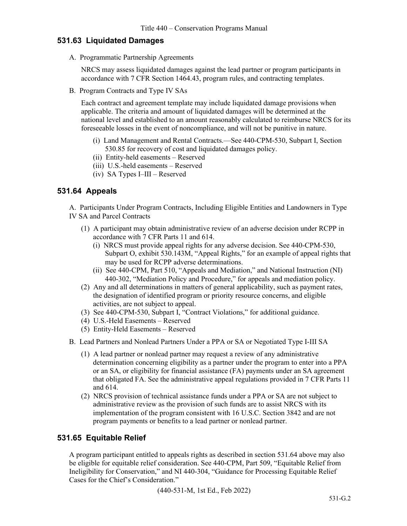### **531.63 Liquidated Damages**

A. Programmatic Partnership Agreements

NRCS may assess liquidated damages against the lead partner or program participants in accordance with 7 CFR Section 1464.43, program rules, and contracting templates.

B. Program Contracts and Type IV SAs

Each contract and agreement template may include liquidated damage provisions when applicable. The criteria and amount of liquidated damages will be determined at the national level and established to an amount reasonably calculated to reimburse NRCS for its foreseeable losses in the event of noncompliance, and will not be punitive in nature.

- (i) Land Management and Rental Contracts.—See 440-CPM-530, Subpart I, Section 530.85 for recovery of cost and liquidated damages policy.
- (ii) Entity-held easements Reserved
- (iii) U.S.-held easements Reserved
- (iv) SA Types I–III Reserved

#### **531.64 Appeals**

A. Participants Under Program Contracts, Including Eligible Entities and Landowners in Type IV SA and Parcel Contracts

- (1) A participant may obtain administrative review of an adverse decision under RCPP in accordance with 7 CFR Parts 11 and 614.
	- (i) NRCS must provide appeal rights for any adverse decision. See 440-CPM-530, Subpart O, exhibit 530.143M, "Appeal Rights," for an example of appeal rights that may be used for RCPP adverse determinations.
	- (ii) See 440-CPM, Part 510, "Appeals and Mediation," and National Instruction (NI) 440-302, "Mediation Policy and Procedure," for appeals and mediation policy.
- (2) Any and all determinations in matters of general applicability, such as payment rates, the designation of identified program or priority resource concerns, and eligible activities, are not subject to appeal.
- (3) See 440-CPM-530, Subpart I, "Contract Violations," for additional guidance.
- (4) U.S.-Held Easements Reserved
- (5) Entity-Held Easements Reserved
- B. Lead Partners and Nonlead Partners Under a PPA or SA or Negotiated Type I-III SA
	- (1) A lead partner or nonlead partner may request a review of any administrative determination concerning eligibility as a partner under the program to enter into a PPA or an SA, or eligibility for financial assistance (FA) payments under an SA agreement that obligated FA. See the administrative appeal regulations provided in 7 CFR Parts 11 and 614.
	- (2) NRCS provision of technical assistance funds under a PPA or SA are not subject to administrative review as the provision of such funds are to assist NRCS with its implementation of the program consistent with 16 U.S.C. Section 3842 and are not program payments or benefits to a lead partner or nonlead partner.

# **531.65 Equitable Relief**

A program participant entitled to appeals rights as described in section 531.64 above may also be eligible for equitable relief consideration. See 440-CPM, Part 509, "Equitable Relief from Ineligibility for Conservation," and NI 440-304, "Guidance for Processing Equitable Relief Cases for the Chief's Consideration."

(440-531-M, 1st Ed., Feb 2022)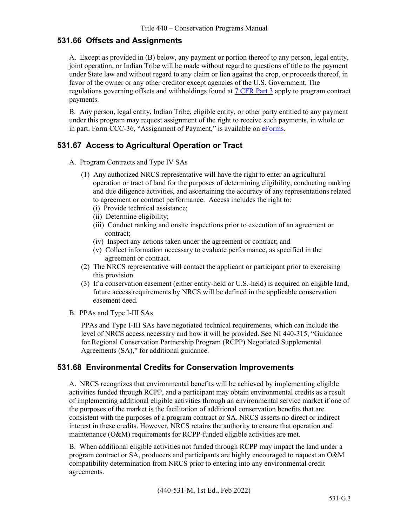#### **531.66 Offsets and Assignments**

A. Except as provided in (B) below, any payment or portion thereof to any person, legal entity, joint operation, or Indian Tribe will be made without regard to questions of title to the payment under State law and without regard to any claim or lien against the crop, or proceeds thereof, in favor of the owner or any other creditor except agencies of the U.S. Government. The regulations governing offsets and withholdings found at [7 CFR](https://www.regulations.gov/document/USDA-2019-0007-0001) Part 3 apply to program contract payments.

B. Any person, legal entity, Indian Tribe, eligible entity, or other party entitled to any payment under this program may request assignment of the right to receive such payments, in whole or in part. Form CCC-36, "Assignment of Payment," is available on [eForms.](https://forms.sc.egov.usda.gov/eForms/searchAction.do?pageAction=BrowseForms&_MenuAction=Yes)

# **531.67 Access to Agricultural Operation or Tract**

- A. Program Contracts and Type IV SAs
	- (1) Any authorized NRCS representative will have the right to enter an agricultural operation or tract of land for the purposes of determining eligibility, conducting ranking and due diligence activities, and ascertaining the accuracy of any representations related to agreement or contract performance. Access includes the right to:
		- (i) Provide technical assistance;
		- (ii) Determine eligibility;
		- (iii) Conduct ranking and onsite inspections prior to execution of an agreement or contract;
		- (iv) Inspect any actions taken under the agreement or contract; and
		- (v) Collect information necessary to evaluate performance, as specified in the agreement or contract.
	- (2) The NRCS representative will contact the applicant or participant prior to exercising this provision.
	- (3) If a conservation easement (either entity-held or U.S.-held) is acquired on eligible land, future access requirements by NRCS will be defined in the applicable conservation easement deed.
- B. PPAs and Type I-III SAs

PPAs and Type I-III SAs have negotiated technical requirements, which can include the level of NRCS access necessary and how it will be provided. See NI 440-315, "Guidance for Regional Conservation Partnership Program (RCPP) Negotiated Supplemental Agreements (SA)," for additional guidance.

# **531.68 Environmental Credits for Conservation Improvements**

A. NRCS recognizes that environmental benefits will be achieved by implementing eligible activities funded through RCPP, and a participant may obtain environmental credits as a result of implementing additional eligible activities through an environmental service market if one of the purposes of the market is the facilitation of additional conservation benefits that are consistent with the purposes of a program contract or SA. NRCS asserts no direct or indirect interest in these credits. However, NRCS retains the authority to ensure that operation and maintenance (O&M) requirements for RCPP-funded eligible activities are met.

B. When additional eligible activities not funded through RCPP may impact the land under a program contract or SA, producers and participants are highly encouraged to request an O&M compatibility determination from NRCS prior to entering into any environmental credit agreements.